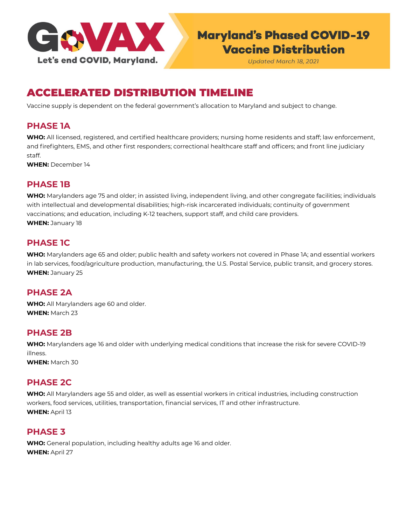

# **Maryland's Phased COVID-19 Vaccine Distribution**

**Updated March 18, 2021** 

## ACCELERATED DISTRIBUTION TIMELINE

Vaccine supply is dependent on the federal government's allocation to Maryland and subject to change.

#### **PHASE 1A**

**WHO:** All licensed, registered, and certified healthcare providers; nursing home residents and staff; law enforcement, and firefighters, EMS, and other first responders; correctional healthcare staff and officers; and front line judiciary staff.

**WHEN:** December 14

#### **PHASE 1B**

**WHO:** Marylanders age 75 and older; in assisted living, independent living, and other congregate facilities; individuals with intellectual and developmental disabilities; high-risk incarcerated individuals; continuity of government vaccinations; and education, including K-12 teachers, support staff, and child care providers. **WHEN:** January 18

### **PHASE 1C**

**WHO:** Marylanders age 65 and older; public health and safety workers not covered in Phase 1A; and essential workers in lab services, food/agriculture production, manufacturing, the U.S. Postal Service, public transit, and grocery stores. **WHEN:** January 25

### **PHASE 2A**

**WHO:** All Marylanders age 60 and older. **WHEN:** March 23

#### **PHASE 2B**

**WHO:** Marylanders age 16 and older with underlying medical conditions that increase the risk for severe COVID-19 illness.

**WHEN:** March 30

#### **PHASE 2C**

**WHO:** All Marylanders age 55 and older, as well as essential workers in critical industries, including construction workers, food services, utilities, transportation, financial services, IT and other infrastructure. **WHEN:** April 13

#### **PHASE 3**

**WHO:** General population, including healthy adults age 16 and older. **WHEN:** April 27